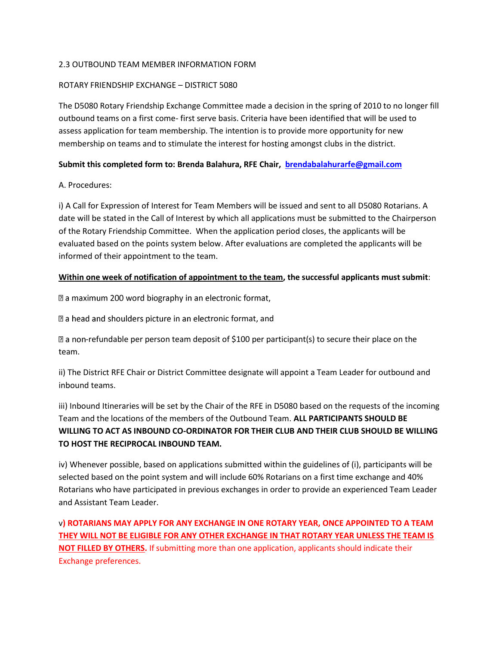#### 2.3 OUTBOUND TEAM MEMBER INFORMATION FORM

## ROTARY FRIENDSHIP EXCHANGE – DISTRICT 5080

The D5080 Rotary Friendship Exchange Committee made a decision in the spring of 2010 to no longer fill outbound teams on a first come- first serve basis. Criteria have been identified that will be used to assess application for team membership. The intention is to provide more opportunity for new membership on teams and to stimulate the interest for hosting amongst clubs in the district.

## **Submit this completed form to: Brenda Balahura, RFE Chair, [brendabalahurarfe@gmail.com](mailto:brendabalahurarfe@gmail.com)**

## A. Procedures:

i) A Call for Expression of Interest for Team Members will be issued and sent to all D5080 Rotarians. A date will be stated in the Call of Interest by which all applications must be submitted to the Chairperson of the Rotary Friendship Committee. When the application period closes, the applicants will be evaluated based on the points system below. After evaluations are completed the applicants will be informed of their appointment to the team.

## **Within one week of notification of appointment to the team, the successful applicants must submit**:

a maximum 200 word biography in an electronic format,

 $\mathbb Z$  a head and shoulders picture in an electronic format, and

 $\mathbb D$  a non-refundable per person team deposit of \$100 per participant(s) to secure their place on the team.

ii) The District RFE Chair or District Committee designate will appoint a Team Leader for outbound and inbound teams.

iii) Inbound Itineraries will be set by the Chair of the RFE in D5080 based on the requests of the incoming Team and the locations of the members of the Outbound Team. **ALL PARTICIPANTS SHOULD BE WILLING TO ACT AS INBOUND CO-ORDINATOR FOR THEIR CLUB AND THEIR CLUB SHOULD BE WILLING TO HOST THE RECIPROCAL INBOUND TEAM.**

iv) Whenever possible, based on applications submitted within the guidelines of (i), participants will be selected based on the point system and will include 60% Rotarians on a first time exchange and 40% Rotarians who have participated in previous exchanges in order to provide an experienced Team Leader and Assistant Team Leader.

v**) ROTARIANS MAY APPLY FOR ANY EXCHANGE IN ONE ROTARY YEAR, ONCE APPOINTED TO A TEAM THEY WILL NOT BE ELIGIBLE FOR ANY OTHER EXCHANGE IN THAT ROTARY YEAR UNLESS THE TEAM IS NOT FILLED BY OTHERS.** If submitting more than one application, applicants should indicate their Exchange preferences.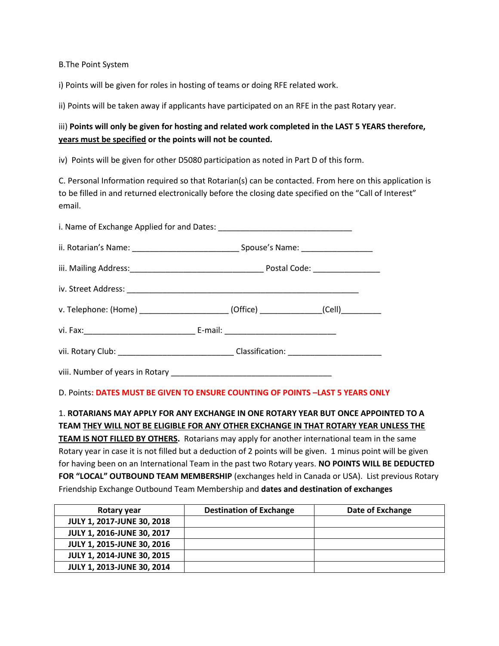B.The Point System

i) Points will be given for roles in hosting of teams or doing RFE related work.

ii) Points will be taken away if applicants have participated on an RFE in the past Rotary year.

# iii) **Points will only be given for hosting and related work completed in the LAST 5 YEARS therefore, years must be specified or the points will not be counted.**

iv) Points will be given for other D5080 participation as noted in Part D of this form.

C. Personal Information required so that Rotarian(s) can be contacted. From here on this application is to be filled in and returned electronically before the closing date specified on the "Call of Interest" email.

| v. Telephone: (Home) _____________________(Office) ____________(Cell) __________                     |  |  |  |
|------------------------------------------------------------------------------------------------------|--|--|--|
|                                                                                                      |  |  |  |
| vii. Rotary Club: __________________________________Classification: ________________________________ |  |  |  |
|                                                                                                      |  |  |  |

#### D. Points**: DATES MUST BE GIVEN TO ENSURE COUNTING OF POINTS –LAST 5 YEARS ONLY**

1. **ROTARIANS MAY APPLY FOR ANY EXCHANGE IN ONE ROTARY YEAR BUT ONCE APPOINTED TO A TEAM THEY WILL NOT BE ELIGIBLE FOR ANY OTHER EXCHANGE IN THAT ROTARY YEAR UNLESS THE TEAM IS NOT FILLED BY OTHERS.** Rotarians may apply for another international team in the same Rotary year in case it is not filled but a deduction of 2 points will be given. 1 minus point will be given for having been on an International Team in the past two Rotary years. **NO POINTS WILL BE DEDUCTED FOR "LOCAL" OUTBOUND TEAM MEMBERSHIP** (exchanges held in Canada or USA). List previous Rotary

Friendship Exchange Outbound Team Membership and **dates and destination of exchanges**

| Rotary year                       | <b>Destination of Exchange</b> | Date of Exchange |
|-----------------------------------|--------------------------------|------------------|
| <b>JULY 1, 2017-JUNE 30, 2018</b> |                                |                  |
| <b>JULY 1, 2016-JUNE 30, 2017</b> |                                |                  |
| <b>JULY 1, 2015-JUNE 30, 2016</b> |                                |                  |
| <b>JULY 1, 2014-JUNE 30, 2015</b> |                                |                  |
| <b>JULY 1, 2013-JUNE 30, 2014</b> |                                |                  |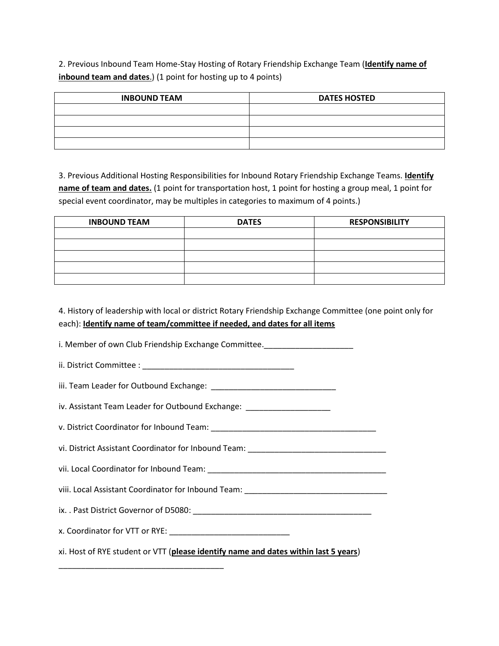2. Previous Inbound Team Home-Stay Hosting of Rotary Friendship Exchange Team (**Identify name of inbound team and dates**.) (1 point for hosting up to 4 points)

| <b>INBOUND TEAM</b> | <b>DATES HOSTED</b> |
|---------------------|---------------------|
|                     |                     |
|                     |                     |
|                     |                     |
|                     |                     |

3. Previous Additional Hosting Responsibilities for Inbound Rotary Friendship Exchange Teams. **Identify name of team and dates.** (1 point for transportation host, 1 point for hosting a group meal, 1 point for special event coordinator, may be multiples in categories to maximum of 4 points.)

| <b>INBOUND TEAM</b> | <b>DATES</b> | <b>RESPONSIBILITY</b> |
|---------------------|--------------|-----------------------|
|                     |              |                       |
|                     |              |                       |
|                     |              |                       |
|                     |              |                       |
|                     |              |                       |

4. History of leadership with local or district Rotary Friendship Exchange Committee (one point only for each): **Identify name of team/committee if needed, and dates for all items**

i. Member of own Club Friendship Exchange Committee. ii. District Committee : \_\_\_\_\_\_\_\_\_\_\_\_\_\_\_\_\_\_\_\_\_\_\_\_\_\_\_\_\_\_\_\_\_\_ iii. Team Leader for Outbound Exchange: \_\_\_\_\_\_\_\_\_\_\_\_\_\_\_\_\_\_\_\_\_\_\_\_\_\_\_\_ iv. Assistant Team Leader for Outbound Exchange: \_\_\_\_\_\_\_\_\_\_\_\_\_\_\_\_\_\_\_\_\_\_\_\_\_\_\_\_\_\_\_ v. District Coordinator for Inbound Team: vi. District Assistant Coordinator for Inbound Team: \_\_\_\_\_\_\_\_\_\_\_\_\_\_\_\_\_\_\_\_\_\_\_\_\_\_\_\_ vii. Local Coordinator for Inbound Team: \_\_\_\_\_\_\_\_\_\_\_\_\_\_\_\_\_\_\_\_\_\_\_\_\_\_\_\_\_\_\_\_\_\_\_\_\_\_\_\_ viii. Local Assistant Coordinator for Inbound Team: \_\_\_\_\_\_\_\_\_\_\_\_\_\_\_\_\_\_\_\_\_\_\_\_\_\_\_\_ ix. . Past District Governor of D5080: \_\_\_\_\_\_\_\_\_\_\_\_\_\_\_\_\_\_\_\_\_\_\_\_\_\_\_\_\_\_\_\_\_\_\_\_\_\_\_\_ x. Coordinator for VTT or RYE: \_\_\_\_\_\_\_\_\_\_\_\_\_\_\_\_\_\_\_\_\_\_\_\_\_\_\_ xi. Host of RYE student or VTT (**please identify name and dates within last 5 years**) \_\_\_\_\_\_\_\_\_\_\_\_\_\_\_\_\_\_\_\_\_\_\_\_\_\_\_\_\_\_\_\_\_\_\_\_\_